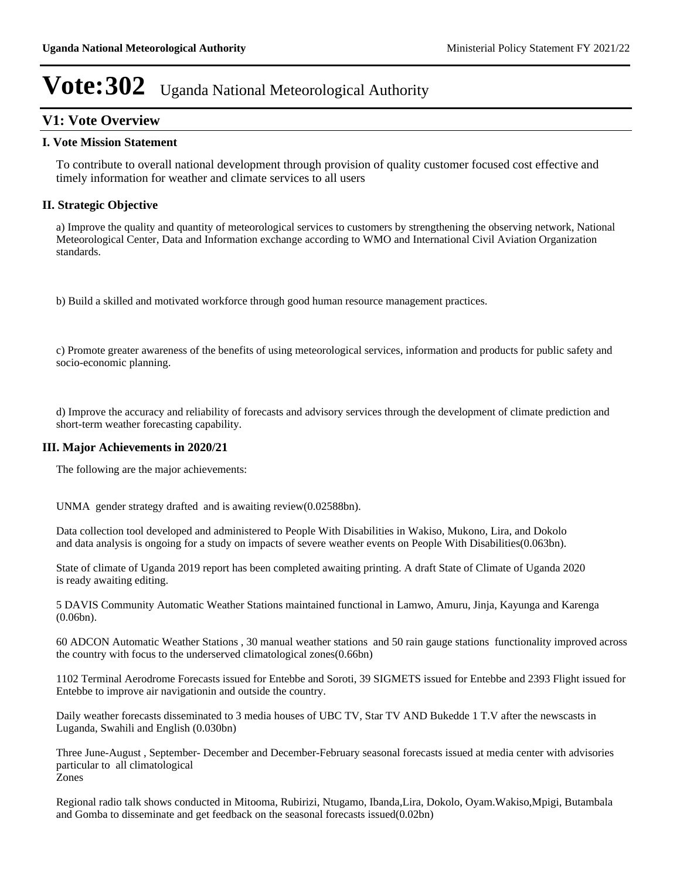## **V1: Vote Overview**

### **I. Vote Mission Statement**

To contribute to overall national development through provision of quality customer focused cost effective and timely information for weather and climate services to all users

## **II. Strategic Objective**

a) Improve the quality and quantity of meteorological services to customers by strengthening the observing network, National Meteorological Center, Data and Information exchange according to WMO and International Civil Aviation Organization standards.

b) Build a skilled and motivated workforce through good human resource management practices.

c) Promote greater awareness of the benefits of using meteorological services, information and products for public safety and socio-economic planning.

d) Improve the accuracy and reliability of forecasts and advisory services through the development of climate prediction and short-term weather forecasting capability.

#### **III. Major Achievements in 2020/21**

The following are the major achievements:

UNMA gender strategy drafted and is awaiting review(0.02588bn).

Data collection tool developed and administered to People With Disabilities in Wakiso, Mukono, Lira, and Dokolo and data analysis is ongoing for a study on impacts of severe weather events on People With Disabilities(0.063bn).

State of climate of Uganda 2019 report has been completed awaiting printing. A draft State of Climate of Uganda 2020 is ready awaiting editing.

5 DAVIS Community Automatic Weather Stations maintained functional in Lamwo, Amuru, Jinja, Kayunga and Karenga (0.06bn).

60 ADCON Automatic Weather Stations , 30 manual weather stations and 50 rain gauge stations functionality improved across the country with focus to the underserved climatological zones(0.66bn)

1102 Terminal Aerodrome Forecasts issued for Entebbe and Soroti, 39 SIGMETS issued for Entebbe and 2393 Flight issued for Entebbe to improve air navigationin and outside the country.

Daily weather forecasts disseminated to 3 media houses of UBC TV, Star TV AND Bukedde 1 T.V after the newscasts in Luganda, Swahili and English (0.030bn)

Three June-August , September- December and December-February seasonal forecasts issued at media center with advisories particular to all climatological Zones

Regional radio talk shows conducted in Mitooma, Rubirizi, Ntugamo, Ibanda,Lira, Dokolo, Oyam.Wakiso,Mpigi, Butambala and Gomba to disseminate and get feedback on the seasonal forecasts issued(0.02bn)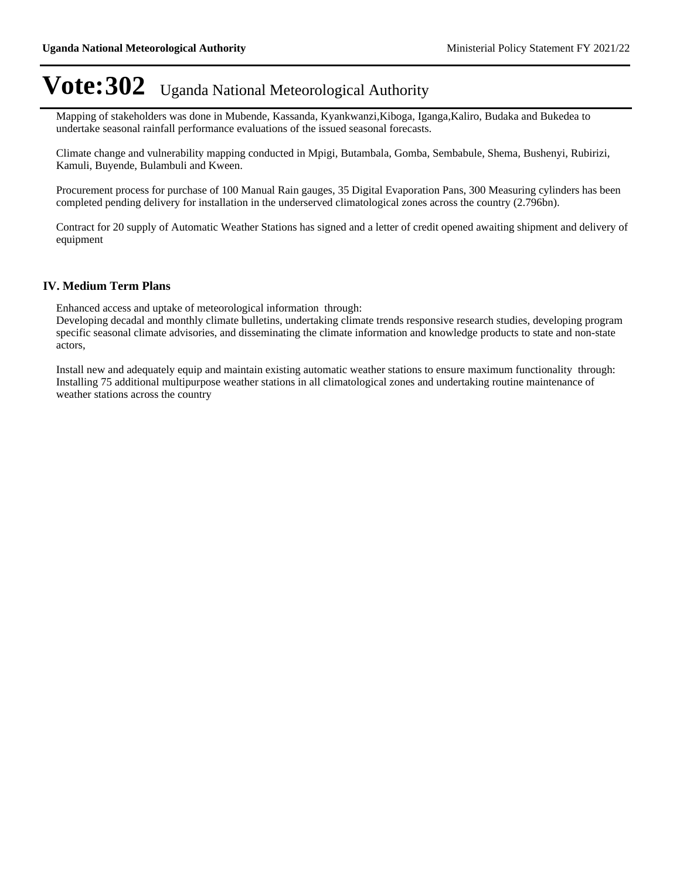Mapping of stakeholders was done in Mubende, Kassanda, Kyankwanzi,Kiboga, Iganga,Kaliro, Budaka and Bukedea to undertake seasonal rainfall performance evaluations of the issued seasonal forecasts.

Climate change and vulnerability mapping conducted in Mpigi, Butambala, Gomba, Sembabule, Shema, Bushenyi, Rubirizi, Kamuli, Buyende, Bulambuli and Kween.

Procurement process for purchase of 100 Manual Rain gauges, 35 Digital Evaporation Pans, 300 Measuring cylinders has been completed pending delivery for installation in the underserved climatological zones across the country (2.796bn).

Contract for 20 supply of Automatic Weather Stations has signed and a letter of credit opened awaiting shipment and delivery of equipment

### **IV. Medium Term Plans**

Enhanced access and uptake of meteorological information through:

Developing decadal and monthly climate bulletins, undertaking climate trends responsive research studies, developing program specific seasonal climate advisories, and disseminating the climate information and knowledge products to state and non-state actors,

Install new and adequately equip and maintain existing automatic weather stations to ensure maximum functionality through: Installing 75 additional multipurpose weather stations in all climatological zones and undertaking routine maintenance of weather stations across the country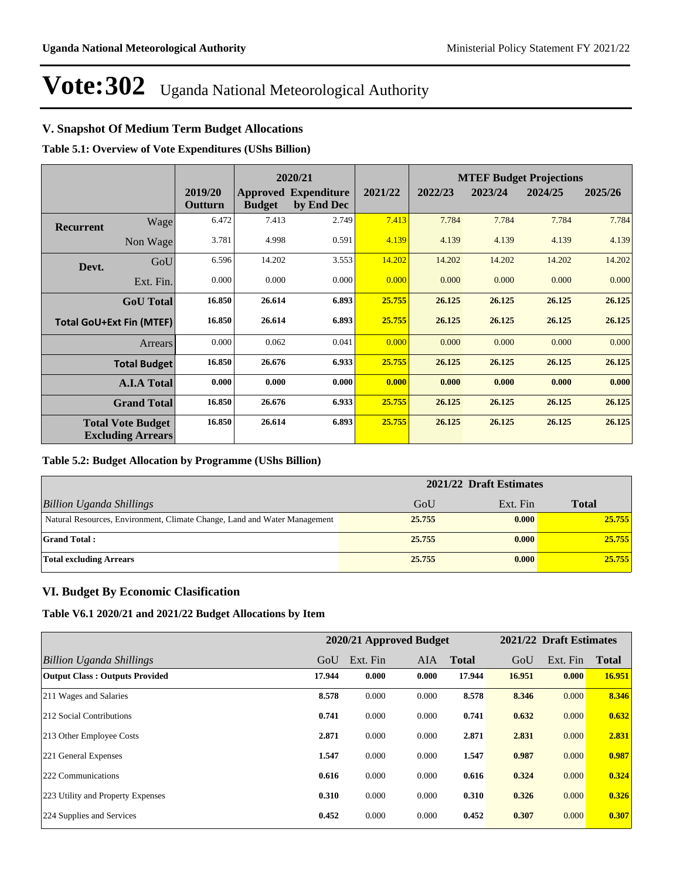## **V. Snapshot Of Medium Term Budget Allocations**

**Table 5.1: Overview of Vote Expenditures (UShs Billion)**

|           |                                                      |                    | 2020/21       |                                           |         | <b>MTEF Budget Projections</b> |         |         |         |
|-----------|------------------------------------------------------|--------------------|---------------|-------------------------------------------|---------|--------------------------------|---------|---------|---------|
|           |                                                      | 2019/20<br>Outturn | <b>Budget</b> | <b>Approved Expenditure</b><br>by End Dec | 2021/22 | 2022/23                        | 2023/24 | 2024/25 | 2025/26 |
| Recurrent | Wage                                                 | 6.472              | 7.413         | 2.749                                     | 7.413   | 7.784                          | 7.784   | 7.784   | 7.784   |
|           | Non Wage                                             | 3.781              | 4.998         | 0.591                                     | 4.139   | 4.139                          | 4.139   | 4.139   | 4.139   |
| Devt.     | GoU                                                  | 6.596              | 14.202        | 3.553                                     | 14.202  | 14.202                         | 14.202  | 14.202  | 14.202  |
|           | Ext. Fin.                                            | 0.000              | 0.000         | 0.000                                     | 0.000   | 0.000                          | 0.000   | 0.000   | 0.000   |
|           | <b>GoU</b> Total                                     | 16.850             | 26.614        | 6.893                                     | 25.755  | 26.125                         | 26.125  | 26.125  | 26.125  |
|           | <b>Total GoU+Ext Fin (MTEF)</b>                      | 16.850             | 26.614        | 6.893                                     | 25.755  | 26.125                         | 26.125  | 26.125  | 26.125  |
|           | <b>Arrears</b>                                       | 0.000              | 0.062         | 0.041                                     | 0.000   | 0.000                          | 0.000   | 0.000   | 0.000   |
|           | <b>Total Budget</b>                                  | 16.850             | 26.676        | 6.933                                     | 25.755  | 26.125                         | 26.125  | 26.125  | 26.125  |
|           | <b>A.I.A Total</b>                                   | 0.000              | 0.000         | 0.000                                     | 0.000   | 0.000                          | 0.000   | 0.000   | 0.000   |
|           | <b>Grand Total</b>                                   | 16.850             | 26.676        | 6.933                                     | 25.755  | 26.125                         | 26.125  | 26.125  | 26.125  |
|           | <b>Total Vote Budget</b><br><b>Excluding Arrears</b> | 16.850             | 26.614        | 6.893                                     | 25.755  | 26.125                         | 26.125  | 26.125  | 26.125  |

#### **Table 5.2: Budget Allocation by Programme (UShs Billion)**

|                                                                           | 2021/22 Draft Estimates |          |              |
|---------------------------------------------------------------------------|-------------------------|----------|--------------|
| Billion Uganda Shillings                                                  | GoU                     | Ext. Fin | <b>Total</b> |
| Natural Resources, Environment, Climate Change, Land and Water Management | 25,755                  | 0.000    | 25.755       |
| <b>Grand Total:</b>                                                       | 25.755                  | 0.000    | 25.755       |
| Total excluding Arrears                                                   | 25.755                  | 0.000    | 25.755       |

## **VI. Budget By Economic Clasification**

**Table V6.1 2020/21 and 2021/22 Budget Allocations by Item**

|                                       |        | 2020/21 Approved Budget |            |              |        | 2021/22 Draft Estimates |              |
|---------------------------------------|--------|-------------------------|------------|--------------|--------|-------------------------|--------------|
| Billion Uganda Shillings              | GoU    | Ext. Fin                | <b>AIA</b> | <b>Total</b> | GoU    | Ext. Fin                | <b>Total</b> |
| <b>Output Class: Outputs Provided</b> | 17.944 | 0.000                   | 0.000      | 17.944       | 16.951 | 0.000                   | 16.951       |
| 211 Wages and Salaries                | 8.578  | 0.000                   | 0.000      | 8.578        | 8.346  | 0.000                   | 8.346        |
| 212 Social Contributions              | 0.741  | 0.000                   | 0.000      | 0.741        | 0.632  | 0.000                   | 0.632        |
| 213 Other Employee Costs              | 2.871  | 0.000                   | 0.000      | 2.871        | 2.831  | 0.000                   | 2.831        |
| 221 General Expenses                  | 1.547  | 0.000                   | 0.000      | 1.547        | 0.987  | 0.000                   | 0.987        |
| 222 Communications                    | 0.616  | 0.000                   | 0.000      | 0.616        | 0.324  | 0.000                   | 0.324        |
| 223 Utility and Property Expenses     | 0.310  | 0.000                   | 0.000      | 0.310        | 0.326  | 0.000                   | 0.326        |
| 224 Supplies and Services             | 0.452  | 0.000                   | 0.000      | 0.452        | 0.307  | 0.000                   | 0.307        |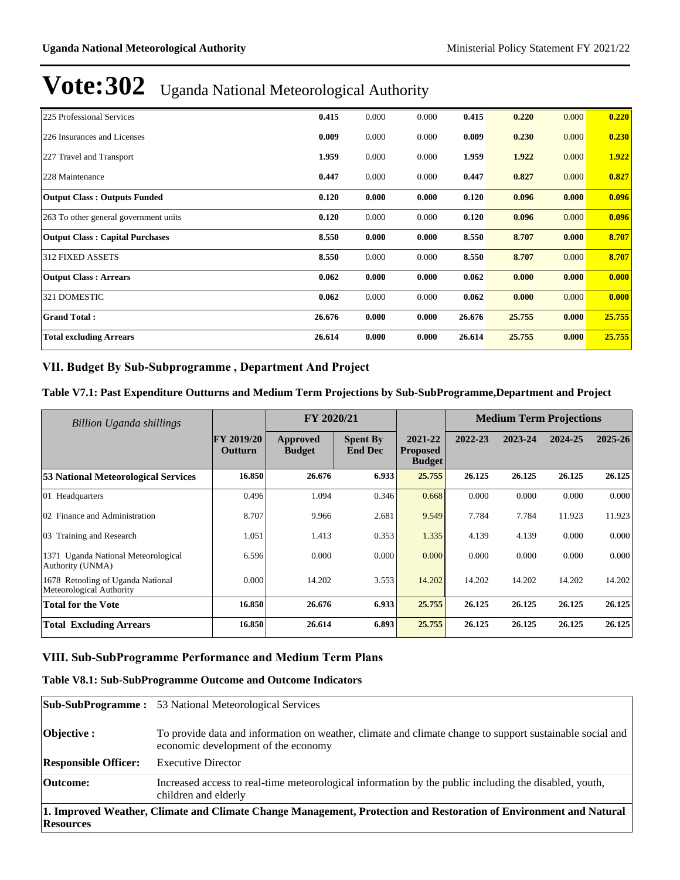| 225 Professional Services              | 0.415  | 0.000 | 0.000 | 0.415  | 0.220  | 0.000 | 0.220  |
|----------------------------------------|--------|-------|-------|--------|--------|-------|--------|
| 226 Insurances and Licenses            | 0.009  | 0.000 | 0.000 | 0.009  | 0.230  | 0.000 | 0.230  |
| 227 Travel and Transport               | 1.959  | 0.000 | 0.000 | 1.959  | 1.922  | 0.000 | 1.922  |
| 228 Maintenance                        | 0.447  | 0.000 | 0.000 | 0.447  | 0.827  | 0.000 | 0.827  |
| <b>Output Class: Outputs Funded</b>    | 0.120  | 0.000 | 0.000 | 0.120  | 0.096  | 0.000 | 0.096  |
| 263 To other general government units  | 0.120  | 0.000 | 0.000 | 0.120  | 0.096  | 0.000 | 0.096  |
| <b>Output Class: Capital Purchases</b> | 8.550  | 0.000 | 0.000 | 8.550  | 8.707  | 0.000 | 8.707  |
| <b>312 FIXED ASSETS</b>                | 8.550  | 0.000 | 0.000 | 8.550  | 8.707  | 0.000 | 8.707  |
| <b>Output Class: Arrears</b>           | 0.062  | 0.000 | 0.000 | 0.062  | 0.000  | 0.000 | 0.000  |
| 321 DOMESTIC                           | 0.062  | 0.000 | 0.000 | 0.062  | 0.000  | 0.000 | 0.000  |
| <b>Grand Total:</b>                    | 26.676 | 0.000 | 0.000 | 26.676 | 25.755 | 0.000 | 25.755 |
| <b>Total excluding Arrears</b>         | 26.614 | 0.000 | 0.000 | 26.614 | 25.755 | 0.000 | 25.755 |

## VII. Budget By Sub-Subprogramme, Department And Project

### **Table V7.1: Past Expenditure Outturns and Medium Term Projections by Sub-SubProgramme,Department and Project**

| Billion Uganda shillings                                      |                              | FY 2020/21                |                                   |                                             | <b>Medium Term Projections</b> |         |         |         |
|---------------------------------------------------------------|------------------------------|---------------------------|-----------------------------------|---------------------------------------------|--------------------------------|---------|---------|---------|
|                                                               | <b>FY 2019/20</b><br>Outturn | Approved<br><b>Budget</b> | <b>Spent By</b><br><b>End Dec</b> | 2021-22<br><b>Proposed</b><br><b>Budget</b> | 2022-23                        | 2023-24 | 2024-25 | 2025-26 |
| 53 National Meteorological Services                           | 16.850                       | 26.676                    | 6.933                             | 25.755                                      | 26.125                         | 26.125  | 26.125  | 26.125  |
| 01 Headquarters                                               | 0.496                        | 1.094                     | 0.346                             | 0.668                                       | 0.000                          | 0.000   | 0.000   | 0.000   |
| 02 Finance and Administration                                 | 8.707                        | 9.966                     | 2.681                             | 9.549                                       | 7.784                          | 7.784   | 11.923  | 11.923  |
| 03 Training and Research                                      | 1.051                        | 1.413                     | 0.353                             | 1.335                                       | 4.139                          | 4.139   | 0.000   | 0.000   |
| 1371 Uganda National Meteorological<br>Authority (UNMA)       | 6.596                        | 0.000                     | 0.000                             | 0.000                                       | 0.000                          | 0.000   | 0.000   | 0.000   |
| 1678 Retooling of Uganda National<br>Meteorological Authority | 0.000                        | 14.202                    | 3.553                             | 14.202                                      | 14.202                         | 14.202  | 14.202  | 14.202  |
| <b>Total for the Vote</b>                                     | 16.850                       | 26.676                    | 6.933                             | 25,755                                      | 26.125                         | 26.125  | 26.125  | 26.125  |
| <b>Total Excluding Arrears</b>                                | 16.850                       | 26.614                    | 6.893                             | 25,755                                      | 26.125                         | 26.125  | 26.125  | 26.125  |

## **VIII. Sub-SubProgramme Performance and Medium Term Plans**

## **Table V8.1: Sub-SubProgramme Outcome and Outcome Indicators**

|                                                                                                                                       | <b>Sub-SubProgramme:</b> 53 National Meteorological Services                                                                                    |  |  |  |  |  |
|---------------------------------------------------------------------------------------------------------------------------------------|-------------------------------------------------------------------------------------------------------------------------------------------------|--|--|--|--|--|
| Objective :                                                                                                                           | To provide data and information on weather, climate and climate change to support sustainable social and<br>economic development of the economy |  |  |  |  |  |
| <b>Responsible Officer:</b>                                                                                                           | <b>Executive Director</b>                                                                                                                       |  |  |  |  |  |
| Outcome:                                                                                                                              | Increased access to real-time meteorological information by the public including the disabled, youth,<br>children and elderly                   |  |  |  |  |  |
| 1. Improved Weather, Climate and Climate Change Management, Protection and Restoration of Environment and Natural<br><b>Resources</b> |                                                                                                                                                 |  |  |  |  |  |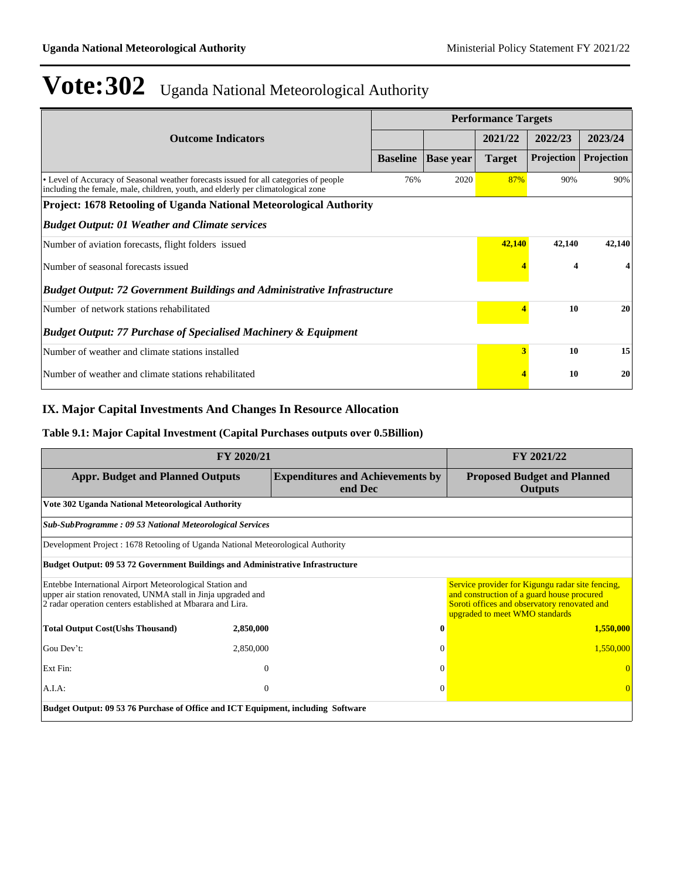|                                                                                                                                                                           |                 |                  | <b>Performance Targets</b> |                   |            |  |  |  |
|---------------------------------------------------------------------------------------------------------------------------------------------------------------------------|-----------------|------------------|----------------------------|-------------------|------------|--|--|--|
| <b>Outcome Indicators</b>                                                                                                                                                 |                 |                  | 2021/22                    | 2022/23           | 2023/24    |  |  |  |
|                                                                                                                                                                           | <b>Baseline</b> | <b>Base year</b> | <b>Target</b>              | <b>Projection</b> | Projection |  |  |  |
| • Level of Accuracy of Seasonal weather forecasts issued for all categories of people<br>including the female, male, children, youth, and elderly per climatological zone | 76%             | 2020             | 87%                        | 90%               | 90%        |  |  |  |
| <b>Project: 1678 Retooling of Uganda National Meteorological Authority</b>                                                                                                |                 |                  |                            |                   |            |  |  |  |
| <b>Budget Output: 01 Weather and Climate services</b>                                                                                                                     |                 |                  |                            |                   |            |  |  |  |
| Number of aviation forecasts, flight folders issued                                                                                                                       |                 |                  | 42,140                     | 42,140            | 42,140     |  |  |  |
| Number of seasonal forecasts issued                                                                                                                                       |                 | 4                |                            |                   |            |  |  |  |
| <b>Budget Output: 72 Government Buildings and Administrative Infrastructure</b>                                                                                           |                 |                  |                            |                   |            |  |  |  |
| Number of network stations rehabilitated                                                                                                                                  |                 | 10               | 20                         |                   |            |  |  |  |
| <b>Budget Output: 77 Purchase of Specialised Machinery &amp; Equipment</b>                                                                                                |                 |                  |                            |                   |            |  |  |  |
| Number of weather and climate stations installed                                                                                                                          |                 |                  | 3                          | 10                | 15         |  |  |  |
| Number of weather and climate stations rehabilitated                                                                                                                      |                 |                  |                            | 10                | 20         |  |  |  |

## **IX. Major Capital Investments And Changes In Resource Allocation**

### **Table 9.1: Major Capital Investment (Capital Purchases outputs over 0.5Billion)**

|                                                                                                                                                                                         | FY 2021/22 |                                         |                                                                                                                                                                                  |  |  |  |  |  |
|-----------------------------------------------------------------------------------------------------------------------------------------------------------------------------------------|------------|-----------------------------------------|----------------------------------------------------------------------------------------------------------------------------------------------------------------------------------|--|--|--|--|--|
| <b>Appr. Budget and Planned Outputs</b><br>end Dec                                                                                                                                      |            | <b>Expenditures and Achievements by</b> | <b>Proposed Budget and Planned</b><br><b>Outputs</b>                                                                                                                             |  |  |  |  |  |
| Vote 302 Uganda National Meteorological Authority                                                                                                                                       |            |                                         |                                                                                                                                                                                  |  |  |  |  |  |
| <b>Sub-SubProgramme: 09 53 National Meteorological Services</b>                                                                                                                         |            |                                         |                                                                                                                                                                                  |  |  |  |  |  |
| Development Project : 1678 Retooling of Uganda National Meteorological Authority                                                                                                        |            |                                         |                                                                                                                                                                                  |  |  |  |  |  |
| <b>Budget Output: 09 53 72 Government Buildings and Administrative Infrastructure</b>                                                                                                   |            |                                         |                                                                                                                                                                                  |  |  |  |  |  |
| Entebbe International Airport Meteorological Station and<br>upper air station renovated, UNMA stall in Jinja upgraded and<br>2 radar operation centers established at Mbarara and Lira. |            |                                         | Service provider for Kigungu radar site fencing,<br>and construction of a guard house procured<br>Soroti offices and observatory renovated and<br>upgraded to meet WMO standards |  |  |  |  |  |
| <b>Total Output Cost(Ushs Thousand)</b>                                                                                                                                                 | 2,850,000  | $\bf{0}$                                | 1,550,000                                                                                                                                                                        |  |  |  |  |  |
| Gou Dev't:                                                                                                                                                                              | 2,850,000  | $\Omega$                                | 1,550,000                                                                                                                                                                        |  |  |  |  |  |
| Ext Fin:                                                                                                                                                                                | $\theta$   | $\Omega$                                |                                                                                                                                                                                  |  |  |  |  |  |
| A.I.A:                                                                                                                                                                                  | $\theta$   | $\theta$                                | $\Omega$                                                                                                                                                                         |  |  |  |  |  |
| Budget Output: 09 53 76 Purchase of Office and ICT Equipment, including Software                                                                                                        |            |                                         |                                                                                                                                                                                  |  |  |  |  |  |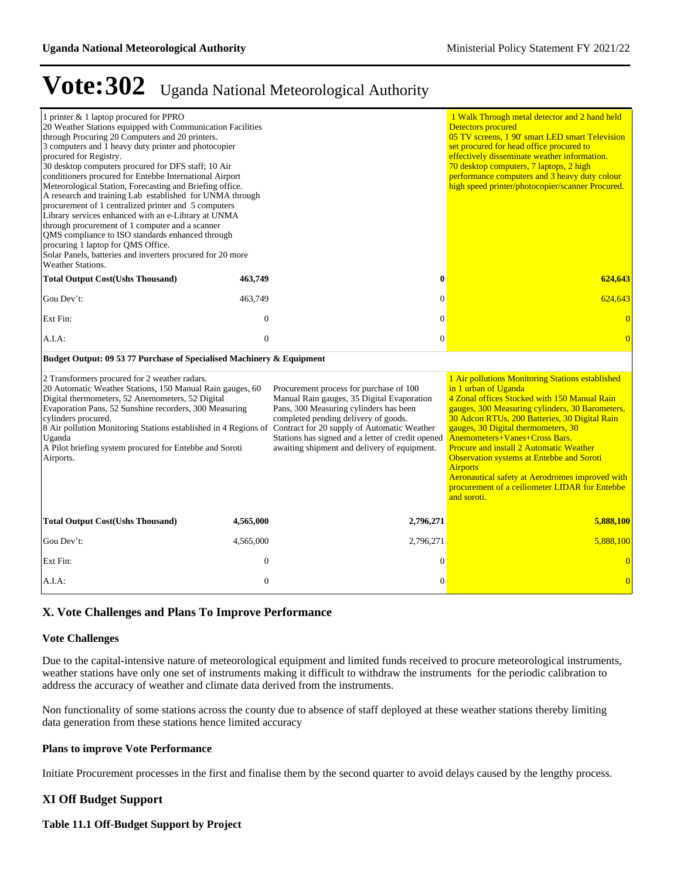| 1 printer & 1 laptop procured for PPRO<br>20 Weather Stations equipped with Communication Facilities<br>through Procuring 20 Computers and 20 printers.<br>3 computers and 1 heavy duty printer and photocopier<br>procured for Registry.<br>30 desktop computers procured for DFS staff; 10 Air<br>conditioners procured for Entebbe International Airport<br>Meteorological Station, Forecasting and Briefing office.<br>A research and training Lab established for UNMA through<br>procurement of 1 centralized printer and 5 computers<br>Library services enhanced with an e-Library at UNMA<br>through procurement of 1 computer and a scanner<br>QMS compliance to ISO standards enhanced through<br>procuring 1 laptop for QMS Office.<br>Solar Panels, batteries and inverters procured for 20 more<br><b>Weather Stations.</b> |                  |                                                                                                                                                                                                                                                                                                                                                                                             | 1 Walk Through metal detector and 2 hand held<br><b>Detectors procured</b><br>05 TV screens, 1 90' smart LED smart Television<br>set procured for head office procured to<br>effectively disseminate weather information.<br>70 desktop computers, 7 laptops, 2 high<br>performance computers and 3 heavy duty colour<br>high speed printer/photocopier/scanner Procured.                                                                                                                                                                  |
|-------------------------------------------------------------------------------------------------------------------------------------------------------------------------------------------------------------------------------------------------------------------------------------------------------------------------------------------------------------------------------------------------------------------------------------------------------------------------------------------------------------------------------------------------------------------------------------------------------------------------------------------------------------------------------------------------------------------------------------------------------------------------------------------------------------------------------------------|------------------|---------------------------------------------------------------------------------------------------------------------------------------------------------------------------------------------------------------------------------------------------------------------------------------------------------------------------------------------------------------------------------------------|--------------------------------------------------------------------------------------------------------------------------------------------------------------------------------------------------------------------------------------------------------------------------------------------------------------------------------------------------------------------------------------------------------------------------------------------------------------------------------------------------------------------------------------------|
| <b>Total Output Cost(Ushs Thousand)</b>                                                                                                                                                                                                                                                                                                                                                                                                                                                                                                                                                                                                                                                                                                                                                                                                   | 463,749          | $\bf{0}$                                                                                                                                                                                                                                                                                                                                                                                    | 624,643                                                                                                                                                                                                                                                                                                                                                                                                                                                                                                                                    |
| Gou Dev't:                                                                                                                                                                                                                                                                                                                                                                                                                                                                                                                                                                                                                                                                                                                                                                                                                                | 463,749          | $\Omega$                                                                                                                                                                                                                                                                                                                                                                                    | 624,643                                                                                                                                                                                                                                                                                                                                                                                                                                                                                                                                    |
| Ext Fin:                                                                                                                                                                                                                                                                                                                                                                                                                                                                                                                                                                                                                                                                                                                                                                                                                                  | $\overline{0}$   | $\mathbf{0}$                                                                                                                                                                                                                                                                                                                                                                                | $\overline{0}$                                                                                                                                                                                                                                                                                                                                                                                                                                                                                                                             |
| A.I.A.                                                                                                                                                                                                                                                                                                                                                                                                                                                                                                                                                                                                                                                                                                                                                                                                                                    | $\mathbf{0}$     | $\mathbf{0}$                                                                                                                                                                                                                                                                                                                                                                                | $\overline{0}$                                                                                                                                                                                                                                                                                                                                                                                                                                                                                                                             |
| Budget Output: 09 53 77 Purchase of Specialised Machinery & Equipment                                                                                                                                                                                                                                                                                                                                                                                                                                                                                                                                                                                                                                                                                                                                                                     |                  |                                                                                                                                                                                                                                                                                                                                                                                             |                                                                                                                                                                                                                                                                                                                                                                                                                                                                                                                                            |
| 2 Transformers procured for 2 weather radars.<br>20 Automatic Weather Stations, 150 Manual Rain gauges, 60<br>Digital thermometers, 52 Anemometers, 52 Digital<br>Evaporation Pans, 52 Sunshine recorders, 300 Measuring<br>cylinders procured.<br>Uganda<br>A Pilot briefing system procured for Entebbe and Soroti<br>Airports.                                                                                                                                                                                                                                                                                                                                                                                                                                                                                                         |                  | Procurement process for purchase of 100<br>Manual Rain gauges, 35 Digital Evaporation<br>Pans, 300 Measuring cylinders has been<br>completed pending delivery of goods.<br>8 Air pollution Monitoring Stations established in 4 Regions of Contract for 20 supply of Automatic Weather<br>Stations has signed and a letter of credit opened<br>awaiting shipment and delivery of equipment. | 1 Air pollutions Monitoring Stations established<br>in 1 urban of Uganda<br>4 Zonal offices Stocked with 150 Manual Rain<br>gauges, 300 Measuring cylinders, 30 Barometers,<br>30 Adcon RTUs, 200 Batteries, 30 Digital Rain<br>gauges, 30 Digital thermometers, 30<br>Anemometers+Vanes+Cross Bars.<br><b>Procure and install 2 Automatic Weather</b><br>Observation systems at Entebbe and Soroti<br><b>Airports</b><br>Aeronautical safety at Aerodromes improved with<br>procurement of a ceiliometer LIDAR for Entebbe<br>and soroti. |
| <b>Total Output Cost(Ushs Thousand)</b>                                                                                                                                                                                                                                                                                                                                                                                                                                                                                                                                                                                                                                                                                                                                                                                                   | 4,565,000        | 2,796,271                                                                                                                                                                                                                                                                                                                                                                                   | 5,888,100                                                                                                                                                                                                                                                                                                                                                                                                                                                                                                                                  |
| Gou Dev't:                                                                                                                                                                                                                                                                                                                                                                                                                                                                                                                                                                                                                                                                                                                                                                                                                                | 4,565,000        | 2,796,271                                                                                                                                                                                                                                                                                                                                                                                   | 5,888,100                                                                                                                                                                                                                                                                                                                                                                                                                                                                                                                                  |
| Ext Fin:                                                                                                                                                                                                                                                                                                                                                                                                                                                                                                                                                                                                                                                                                                                                                                                                                                  | $\boldsymbol{0}$ | $\theta$                                                                                                                                                                                                                                                                                                                                                                                    | $\overline{0}$                                                                                                                                                                                                                                                                                                                                                                                                                                                                                                                             |
| $A.I.A$ :                                                                                                                                                                                                                                                                                                                                                                                                                                                                                                                                                                                                                                                                                                                                                                                                                                 | $\mathbf{0}$     | $\theta$                                                                                                                                                                                                                                                                                                                                                                                    | $\overline{0}$                                                                                                                                                                                                                                                                                                                                                                                                                                                                                                                             |

## **X. Vote Challenges and Plans To Improve Performance**

#### **Vote Challenges**

Due to the capital-intensive nature of meteorological equipment and limited funds received to procure meteorological instruments, weather stations have only one set of instruments making it difficult to withdraw the instruments for the periodic calibration to address the accuracy of weather and climate data derived from the instruments.

Non functionality of some stations across the county due to absence of staff deployed at these weather stations thereby limiting data generation from these stations hence limited accuracy

#### **Plans to improve Vote Performance**

Initiate Procurement processes in the first and finalise them by the second quarter to avoid delays caused by the lengthy process.

#### **XI Off Budget Support**

**Table 11.1 Off-Budget Support by Project**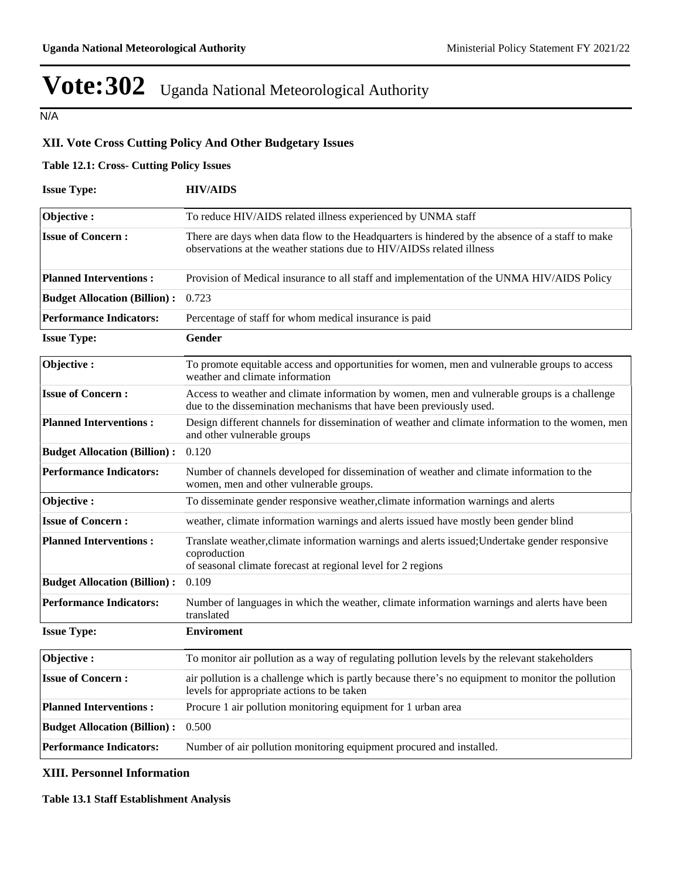N/A

## **XII. Vote Cross Cutting Policy And Other Budgetary Issues**

### **Table 12.1: Cross- Cutting Policy Issues**

| <b>Issue Type:</b>                  | <b>HIV/AIDS</b>                                                                                                                                                                |  |  |  |  |  |
|-------------------------------------|--------------------------------------------------------------------------------------------------------------------------------------------------------------------------------|--|--|--|--|--|
| Objective:                          | To reduce HIV/AIDS related illness experienced by UNMA staff                                                                                                                   |  |  |  |  |  |
| <b>Issue of Concern:</b>            | There are days when data flow to the Headquarters is hindered by the absence of a staff to make<br>observations at the weather stations due to HIV/AIDSs related illness       |  |  |  |  |  |
| <b>Planned Interventions:</b>       | Provision of Medical insurance to all staff and implementation of the UNMA HIV/AIDS Policy                                                                                     |  |  |  |  |  |
| <b>Budget Allocation (Billion):</b> | 0.723                                                                                                                                                                          |  |  |  |  |  |
| <b>Performance Indicators:</b>      | Percentage of staff for whom medical insurance is paid                                                                                                                         |  |  |  |  |  |
| <b>Issue Type:</b>                  | Gender                                                                                                                                                                         |  |  |  |  |  |
| Objective:                          | To promote equitable access and opportunities for women, men and vulnerable groups to access<br>weather and climate information                                                |  |  |  |  |  |
| <b>Issue of Concern:</b>            | Access to weather and climate information by women, men and vulnerable groups is a challenge<br>due to the dissemination mechanisms that have been previously used.            |  |  |  |  |  |
| <b>Planned Interventions:</b>       | Design different channels for dissemination of weather and climate information to the women, men<br>and other vulnerable groups                                                |  |  |  |  |  |
| <b>Budget Allocation (Billion):</b> | 0.120                                                                                                                                                                          |  |  |  |  |  |
| <b>Performance Indicators:</b>      | Number of channels developed for dissemination of weather and climate information to the<br>women, men and other vulnerable groups.                                            |  |  |  |  |  |
| Objective:                          | To disseminate gender responsive weather, climate information warnings and alerts                                                                                              |  |  |  |  |  |
| <b>Issue of Concern :</b>           | weather, climate information warnings and alerts issued have mostly been gender blind                                                                                          |  |  |  |  |  |
| <b>Planned Interventions:</b>       | Translate weather, climate information warnings and alerts issued; Undertake gender responsive<br>coproduction<br>of seasonal climate forecast at regional level for 2 regions |  |  |  |  |  |
| <b>Budget Allocation (Billion):</b> | 0.109                                                                                                                                                                          |  |  |  |  |  |
| <b>Performance Indicators:</b>      | Number of languages in which the weather, climate information warnings and alerts have been<br>translated                                                                      |  |  |  |  |  |
| <b>Issue Type:</b>                  | <b>Enviroment</b>                                                                                                                                                              |  |  |  |  |  |
| Objective:                          | To monitor air pollution as a way of regulating pollution levels by the relevant stakeholders                                                                                  |  |  |  |  |  |
| <b>Issue of Concern:</b>            | air pollution is a challenge which is partly because there's no equipment to monitor the pollution<br>levels for appropriate actions to be taken                               |  |  |  |  |  |
| <b>Planned Interventions:</b>       | Procure 1 air pollution monitoring equipment for 1 urban area                                                                                                                  |  |  |  |  |  |
| <b>Budget Allocation (Billion):</b> | 0.500                                                                                                                                                                          |  |  |  |  |  |
| <b>Performance Indicators:</b>      | Number of air pollution monitoring equipment procured and installed.                                                                                                           |  |  |  |  |  |

## **XIII. Personnel Information**

### **Table 13.1 Staff Establishment Analysis**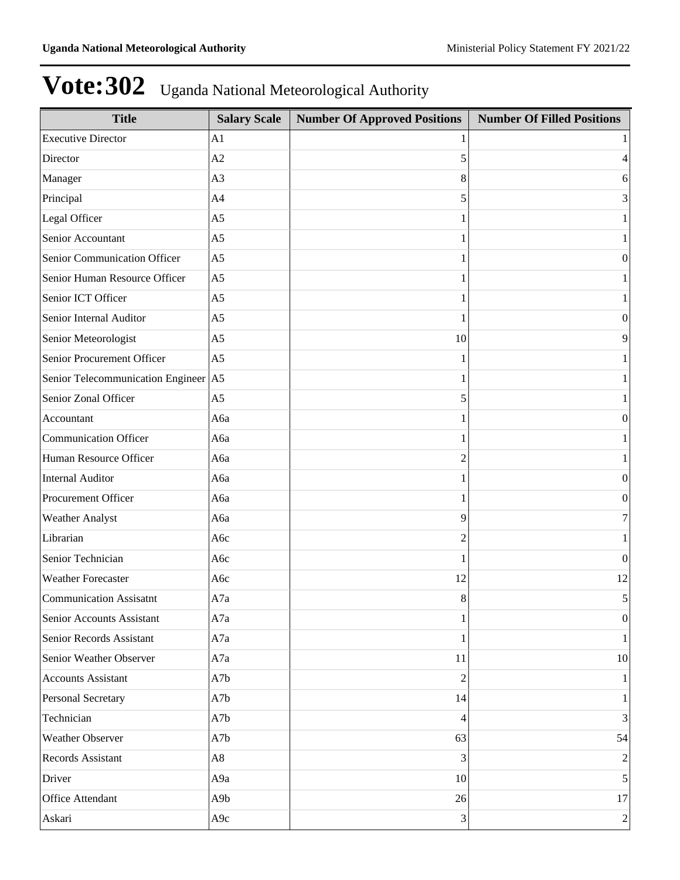| <b>Title</b>                         | <b>Salary Scale</b> | <b>Number Of Approved Positions</b> | <b>Number Of Filled Positions</b> |
|--------------------------------------|---------------------|-------------------------------------|-----------------------------------|
| <b>Executive Director</b>            | A <sub>1</sub>      |                                     |                                   |
| Director                             | A2                  | 5                                   | 4                                 |
| Manager                              | A <sub>3</sub>      | 8                                   | 6                                 |
| Principal                            | A <sub>4</sub>      | 5                                   | 3                                 |
| Legal Officer                        | A <sub>5</sub>      |                                     |                                   |
| Senior Accountant                    | A <sub>5</sub>      |                                     |                                   |
| Senior Communication Officer         | A <sub>5</sub>      |                                     | $\boldsymbol{0}$                  |
| Senior Human Resource Officer        | A <sub>5</sub>      |                                     |                                   |
| Senior ICT Officer                   | A <sub>5</sub>      |                                     |                                   |
| Senior Internal Auditor              | A <sub>5</sub>      |                                     | $\boldsymbol{0}$                  |
| Senior Meteorologist                 | A <sub>5</sub>      | 10                                  | 9                                 |
| Senior Procurement Officer           | A <sub>5</sub>      |                                     |                                   |
| Senior Telecommunication Engineer A5 |                     |                                     |                                   |
| Senior Zonal Officer                 | A <sub>5</sub>      | 5                                   |                                   |
| Accountant                           | A6a                 |                                     | $\boldsymbol{0}$                  |
| <b>Communication Officer</b>         | Аба                 |                                     |                                   |
| Human Resource Officer               | Аба                 | 2                                   |                                   |
| <b>Internal Auditor</b>              | Аба                 |                                     | $\boldsymbol{0}$                  |
| Procurement Officer                  | A6a                 |                                     | $\boldsymbol{0}$                  |
| Weather Analyst                      | Аба                 | 9                                   | 7                                 |
| Librarian                            | A6c                 | 2                                   | 1                                 |
| Senior Technician                    | A6c                 |                                     | $\boldsymbol{0}$                  |
| <b>Weather Forecaster</b>            | A6c                 | 12                                  | 12                                |
| <b>Communication Assisatnt</b>       | A7a                 | 8                                   | 5                                 |
| Senior Accounts Assistant            | A7a                 |                                     | $\boldsymbol{0}$                  |
| Senior Records Assistant             | A7a                 |                                     | 1                                 |
| Senior Weather Observer              | A7a                 | 11                                  | 10                                |
| <b>Accounts Assistant</b>            | A7b                 | $\overline{2}$                      | 1                                 |
| Personal Secretary                   | A7b                 | 14                                  | 1                                 |
| Technician                           | A7b                 | 4                                   | 3                                 |
| Weather Observer                     | A7b                 | 63                                  | 54                                |
| Records Assistant                    | A8                  | 3                                   | $\overline{2}$                    |
| Driver                               | A9a                 | 10                                  | 5                                 |
| Office Attendant                     | A9b                 | 26                                  | 17                                |
| Askari                               | A9c                 | 3                                   | $\overline{2}$                    |